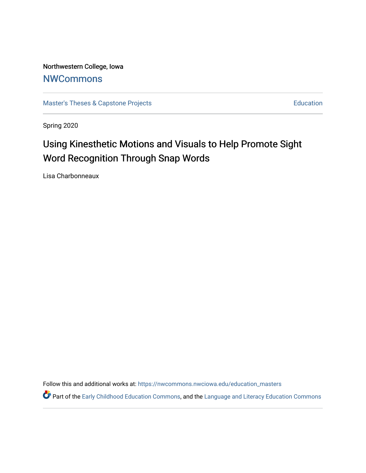Northwestern College, Iowa **[NWCommons](https://nwcommons.nwciowa.edu/)** 

[Master's Theses & Capstone Projects](https://nwcommons.nwciowa.edu/education_masters) **Education** Education

Spring 2020

# Using Kinesthetic Motions and Visuals to Help Promote Sight Word Recognition Through Snap Words

Lisa Charbonneaux

Follow this and additional works at: [https://nwcommons.nwciowa.edu/education\\_masters](https://nwcommons.nwciowa.edu/education_masters?utm_source=nwcommons.nwciowa.edu%2Feducation_masters%2F195&utm_medium=PDF&utm_campaign=PDFCoverPages)

Part of the [Early Childhood Education Commons,](http://network.bepress.com/hgg/discipline/1377?utm_source=nwcommons.nwciowa.edu%2Feducation_masters%2F195&utm_medium=PDF&utm_campaign=PDFCoverPages) and the Language and Literacy Education Commons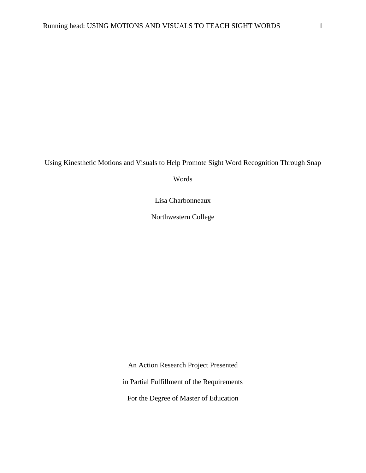Using Kinesthetic Motions and Visuals to Help Promote Sight Word Recognition Through Snap

Words

Lisa Charbonneaux

Northwestern College

An Action Research Project Presented

in Partial Fulfillment of the Requirements

For the Degree of Master of Education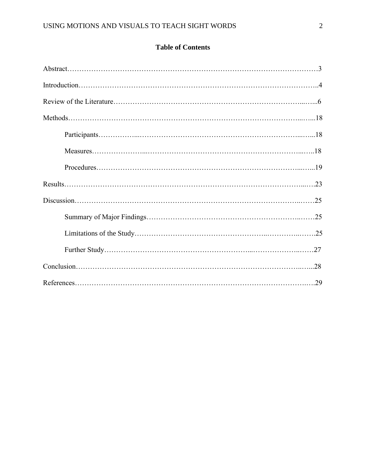# **Table of Contents**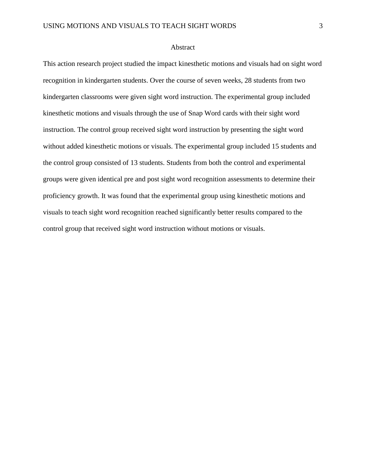### Abstract

This action research project studied the impact kinesthetic motions and visuals had on sight word recognition in kindergarten students. Over the course of seven weeks, 28 students from two kindergarten classrooms were given sight word instruction. The experimental group included kinesthetic motions and visuals through the use of Snap Word cards with their sight word instruction. The control group received sight word instruction by presenting the sight word without added kinesthetic motions or visuals. The experimental group included 15 students and the control group consisted of 13 students. Students from both the control and experimental groups were given identical pre and post sight word recognition assessments to determine their proficiency growth. It was found that the experimental group using kinesthetic motions and visuals to teach sight word recognition reached significantly better results compared to the control group that received sight word instruction without motions or visuals.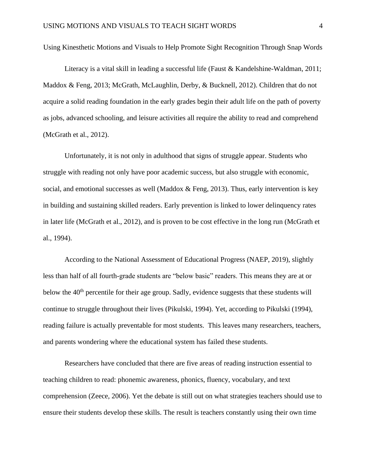Using Kinesthetic Motions and Visuals to Help Promote Sight Recognition Through Snap Words

Literacy is a vital skill in leading a successful life (Faust & Kandelshine-Waldman, 2011; Maddox & Feng, 2013; McGrath, McLaughlin, Derby, & Bucknell, 2012). Children that do not acquire a solid reading foundation in the early grades begin their adult life on the path of poverty as jobs, advanced schooling, and leisure activities all require the ability to read and comprehend (McGrath et al., 2012).

Unfortunately, it is not only in adulthood that signs of struggle appear. Students who struggle with reading not only have poor academic success, but also struggle with economic, social, and emotional successes as well (Maddox & Feng, 2013). Thus, early intervention is key in building and sustaining skilled readers. Early prevention is linked to lower delinquency rates in later life (McGrath et al., 2012), and is proven to be cost effective in the long run (McGrath et al., 1994).

According to the National Assessment of Educational Progress (NAEP, 2019), slightly less than half of all fourth-grade students are "below basic" readers. This means they are at or below the  $40<sup>th</sup>$  percentile for their age group. Sadly, evidence suggests that these students will continue to struggle throughout their lives (Pikulski, 1994). Yet, according to Pikulski (1994), reading failure is actually preventable for most students. This leaves many researchers, teachers, and parents wondering where the educational system has failed these students.

Researchers have concluded that there are five areas of reading instruction essential to teaching children to read: phonemic awareness, phonics, fluency, vocabulary, and text comprehension (Zeece, 2006). Yet the debate is still out on what strategies teachers should use to ensure their students develop these skills. The result is teachers constantly using their own time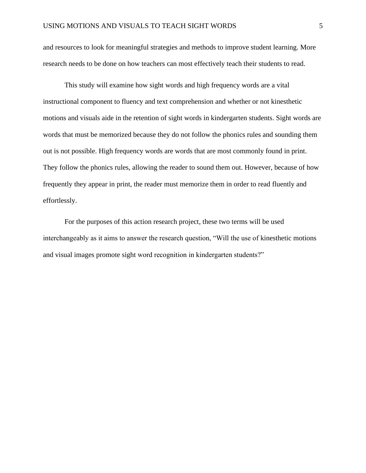and resources to look for meaningful strategies and methods to improve student learning. More research needs to be done on how teachers can most effectively teach their students to read.

This study will examine how sight words and high frequency words are a vital instructional component to fluency and text comprehension and whether or not kinesthetic motions and visuals aide in the retention of sight words in kindergarten students. Sight words are words that must be memorized because they do not follow the phonics rules and sounding them out is not possible. High frequency words are words that are most commonly found in print. They follow the phonics rules, allowing the reader to sound them out. However, because of how frequently they appear in print, the reader must memorize them in order to read fluently and effortlessly.

For the purposes of this action research project, these two terms will be used interchangeably as it aims to answer the research question, "Will the use of kinesthetic motions and visual images promote sight word recognition in kindergarten students?"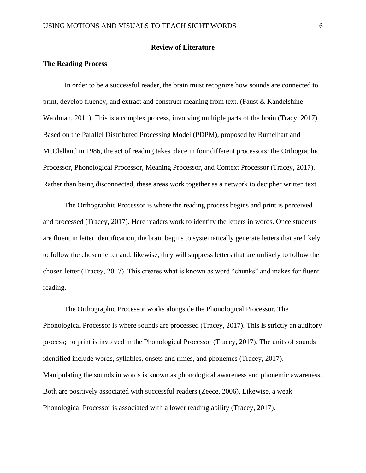# **Review of Literature**

# **The Reading Process**

In order to be a successful reader, the brain must recognize how sounds are connected to print, develop fluency, and extract and construct meaning from text. (Faust & Kandelshine-Waldman, 2011). This is a complex process, involving multiple parts of the brain (Tracy, 2017). Based on the Parallel Distributed Processing Model (PDPM), proposed by Rumelhart and McClelland in 1986, the act of reading takes place in four different processors: the Orthographic Processor, Phonological Processor, Meaning Processor, and Context Processor (Tracey, 2017). Rather than being disconnected, these areas work together as a network to decipher written text.

The Orthographic Processor is where the reading process begins and print is perceived and processed (Tracey, 2017). Here readers work to identify the letters in words. Once students are fluent in letter identification, the brain begins to systematically generate letters that are likely to follow the chosen letter and, likewise, they will suppress letters that are unlikely to follow the chosen letter (Tracey, 2017). This creates what is known as word "chunks" and makes for fluent reading.

The Orthographic Processor works alongside the Phonological Processor. The Phonological Processor is where sounds are processed (Tracey, 2017). This is strictly an auditory process; no print is involved in the Phonological Processor (Tracey, 2017). The units of sounds identified include words, syllables, onsets and rimes, and phonemes (Tracey, 2017). Manipulating the sounds in words is known as phonological awareness and phonemic awareness. Both are positively associated with successful readers (Zeece, 2006). Likewise, a weak Phonological Processor is associated with a lower reading ability (Tracey, 2017).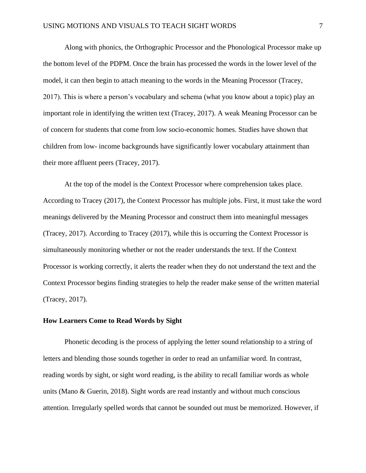Along with phonics, the Orthographic Processor and the Phonological Processor make up the bottom level of the PDPM. Once the brain has processed the words in the lower level of the model, it can then begin to attach meaning to the words in the Meaning Processor (Tracey, 2017). This is where a person's vocabulary and schema (what you know about a topic) play an important role in identifying the written text (Tracey, 2017). A weak Meaning Processor can be of concern for students that come from low socio-economic homes. Studies have shown that children from low- income backgrounds have significantly lower vocabulary attainment than their more affluent peers (Tracey, 2017).

At the top of the model is the Context Processor where comprehension takes place. According to Tracey (2017), the Context Processor has multiple jobs. First, it must take the word meanings delivered by the Meaning Processor and construct them into meaningful messages (Tracey, 2017). According to Tracey (2017), while this is occurring the Context Processor is simultaneously monitoring whether or not the reader understands the text. If the Context Processor is working correctly, it alerts the reader when they do not understand the text and the Context Processor begins finding strategies to help the reader make sense of the written material (Tracey, 2017).

### **How Learners Come to Read Words by Sight**

Phonetic decoding is the process of applying the letter sound relationship to a string of letters and blending those sounds together in order to read an unfamiliar word. In contrast, reading words by sight, or sight word reading, is the ability to recall familiar words as whole units (Mano & Guerin, 2018). Sight words are read instantly and without much conscious attention. Irregularly spelled words that cannot be sounded out must be memorized. However, if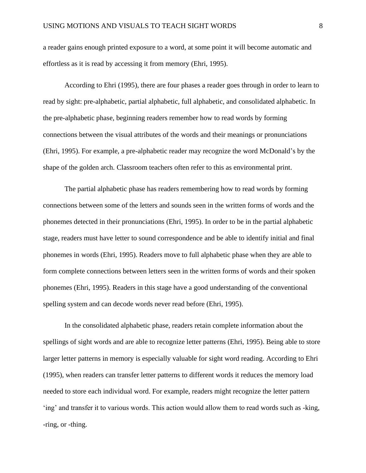a reader gains enough printed exposure to a word, at some point it will become automatic and effortless as it is read by accessing it from memory (Ehri, 1995).

According to Ehri (1995), there are four phases a reader goes through in order to learn to read by sight: pre-alphabetic, partial alphabetic, full alphabetic, and consolidated alphabetic. In the pre-alphabetic phase, beginning readers remember how to read words by forming connections between the visual attributes of the words and their meanings or pronunciations (Ehri, 1995). For example, a pre-alphabetic reader may recognize the word McDonald's by the shape of the golden arch. Classroom teachers often refer to this as environmental print.

The partial alphabetic phase has readers remembering how to read words by forming connections between some of the letters and sounds seen in the written forms of words and the phonemes detected in their pronunciations (Ehri, 1995). In order to be in the partial alphabetic stage, readers must have letter to sound correspondence and be able to identify initial and final phonemes in words (Ehri, 1995). Readers move to full alphabetic phase when they are able to form complete connections between letters seen in the written forms of words and their spoken phonemes (Ehri, 1995). Readers in this stage have a good understanding of the conventional spelling system and can decode words never read before (Ehri, 1995).

In the consolidated alphabetic phase, readers retain complete information about the spellings of sight words and are able to recognize letter patterns (Ehri, 1995). Being able to store larger letter patterns in memory is especially valuable for sight word reading. According to Ehri (1995), when readers can transfer letter patterns to different words it reduces the memory load needed to store each individual word. For example, readers might recognize the letter pattern 'ing' and transfer it to various words. This action would allow them to read words such as -king, -ring, or -thing.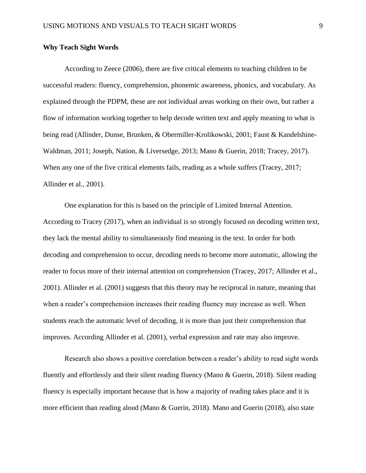### **Why Teach Sight Words**

According to Zeece (2006), there are five critical elements to teaching children to be successful readers: fluency, comprehension, phonemic awareness, phonics, and vocabulary. As explained through the PDPM, these are not individual areas working on their own, but rather a flow of information working together to help decode written text and apply meaning to what is being read (Allinder, Dunse, Brunken, & Obermiller-Krolikowski, 2001; Faust & Kandelshine-Waldman, 2011; Joseph, Nation, & Liversedge, 2013; Mano & Guerin, 2018; Tracey, 2017). When any one of the five critical elements fails, reading as a whole suffers (Tracey, 2017; Allinder et al., 2001).

One explanation for this is based on the principle of Limited Internal Attention. According to Tracey (2017), when an individual is so strongly focused on decoding written text, they lack the mental ability to simultaneously find meaning in the text. In order for both decoding and comprehension to occur, decoding needs to become more automatic, allowing the reader to focus more of their internal attention on comprehension (Tracey, 2017; Allinder et al., 2001). Allinder et al. (2001) suggests that this theory may be reciprocal in nature, meaning that when a reader's comprehension increases their reading fluency may increase as well. When students reach the automatic level of decoding, it is more than just their comprehension that improves. According Allinder et al. (2001), verbal expression and rate may also improve.

Research also shows a positive correlation between a reader's ability to read sight words fluently and effortlessly and their silent reading fluency (Mano & Guerin, 2018). Silent reading fluency is especially important because that is how a majority of reading takes place and it is more efficient than reading aloud (Mano & Guerin, 2018). Mano and Guerin (2018), also state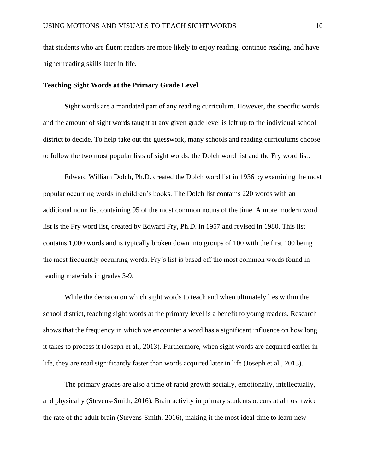that students who are fluent readers are more likely to enjoy reading, continue reading, and have higher reading skills later in life.

# **Teaching Sight Words at the Primary Grade Level**

**S**ight words are a mandated part of any reading curriculum. However, the specific words and the amount of sight words taught at any given grade level is left up to the individual school district to decide. To help take out the guesswork, many schools and reading curriculums choose to follow the two most popular lists of sight words: the Dolch word list and the Fry word list.

Edward William Dolch, Ph.D. created the Dolch word list in 1936 by examining the most popular occurring words in children's books. The Dolch list contains 220 words with an additional noun list containing 95 of the most common nouns of the time. A more modern word list is the Fry word list, created by Edward Fry, Ph.D. in 1957 and revised in 1980. This list contains 1,000 words and is typically broken down into groups of 100 with the first 100 being the most frequently occurring words. Fry's list is based off the most common words found in reading materials in grades 3-9.

While the decision on which sight words to teach and when ultimately lies within the school district, teaching sight words at the primary level is a benefit to young readers. Research shows that the frequency in which we encounter a word has a significant influence on how long it takes to process it (Joseph et al., 2013). Furthermore, when sight words are acquired earlier in life, they are read significantly faster than words acquired later in life (Joseph et al., 2013).

The primary grades are also a time of rapid growth socially, emotionally, intellectually, and physically (Stevens-Smith, 2016). Brain activity in primary students occurs at almost twice the rate of the adult brain (Stevens-Smith, 2016), making it the most ideal time to learn new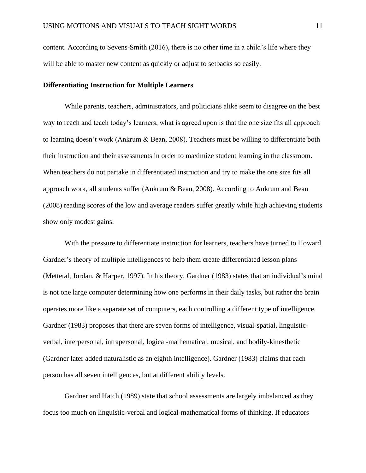content. According to Sevens-Smith (2016), there is no other time in a child's life where they will be able to master new content as quickly or adjust to setbacks so easily.

## **Differentiating Instruction for Multiple Learners**

While parents, teachers, administrators, and politicians alike seem to disagree on the best way to reach and teach today's learners, what is agreed upon is that the one size fits all approach to learning doesn't work (Ankrum & Bean, 2008). Teachers must be willing to differentiate both their instruction and their assessments in order to maximize student learning in the classroom. When teachers do not partake in differentiated instruction and try to make the one size fits all approach work, all students suffer (Ankrum & Bean, 2008). According to Ankrum and Bean (2008) reading scores of the low and average readers suffer greatly while high achieving students show only modest gains.

With the pressure to differentiate instruction for learners, teachers have turned to Howard Gardner's theory of multiple intelligences to help them create differentiated lesson plans (Mettetal, Jordan, & Harper, 1997). In his theory, Gardner (1983) states that an individual's mind is not one large computer determining how one performs in their daily tasks, but rather the brain operates more like a separate set of computers, each controlling a different type of intelligence. Gardner (1983) proposes that there are seven forms of intelligence, visual-spatial, linguisticverbal, interpersonal, intrapersonal, logical-mathematical, musical, and bodily-kinesthetic (Gardner later added naturalistic as an eighth intelligence). Gardner (1983) claims that each person has all seven intelligences, but at different ability levels.

Gardner and Hatch (1989) state that school assessments are largely imbalanced as they focus too much on linguistic-verbal and logical-mathematical forms of thinking. If educators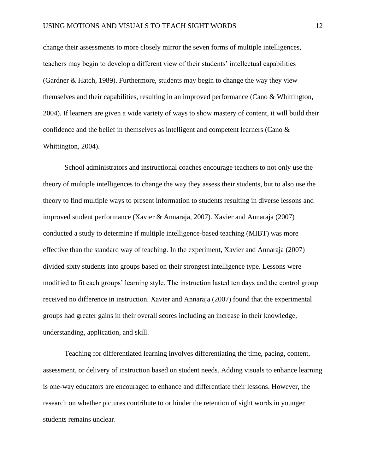change their assessments to more closely mirror the seven forms of multiple intelligences, teachers may begin to develop a different view of their students' intellectual capabilities (Gardner & Hatch, 1989). Furthermore, students may begin to change the way they view themselves and their capabilities, resulting in an improved performance (Cano & Whittington, 2004). If learners are given a wide variety of ways to show mastery of content, it will build their confidence and the belief in themselves as intelligent and competent learners (Cano & Whittington, 2004).

School administrators and instructional coaches encourage teachers to not only use the theory of multiple intelligences to change the way they assess their students, but to also use the theory to find multiple ways to present information to students resulting in diverse lessons and improved student performance (Xavier & Annaraja, 2007). Xavier and Annaraja (2007) conducted a study to determine if multiple intelligence-based teaching (MIBT) was more effective than the standard way of teaching. In the experiment, Xavier and Annaraja (2007) divided sixty students into groups based on their strongest intelligence type. Lessons were modified to fit each groups' learning style. The instruction lasted ten days and the control group received no difference in instruction. Xavier and Annaraja (2007) found that the experimental groups had greater gains in their overall scores including an increase in their knowledge, understanding, application, and skill.

Teaching for differentiated learning involves differentiating the time, pacing, content, assessment, or delivery of instruction based on student needs. Adding visuals to enhance learning is one-way educators are encouraged to enhance and differentiate their lessons. However, the research on whether pictures contribute to or hinder the retention of sight words in younger students remains unclear.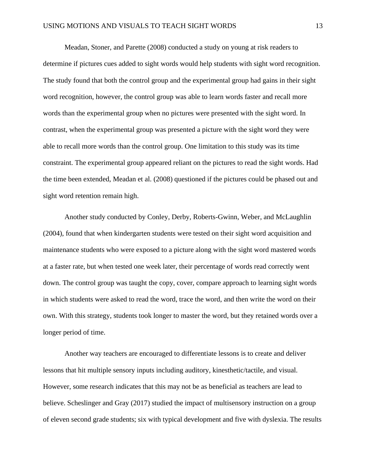Meadan, Stoner, and Parette (2008) conducted a study on young at risk readers to determine if pictures cues added to sight words would help students with sight word recognition. The study found that both the control group and the experimental group had gains in their sight word recognition, however, the control group was able to learn words faster and recall more words than the experimental group when no pictures were presented with the sight word. In contrast, when the experimental group was presented a picture with the sight word they were able to recall more words than the control group. One limitation to this study was its time constraint. The experimental group appeared reliant on the pictures to read the sight words. Had the time been extended, Meadan et al. (2008) questioned if the pictures could be phased out and sight word retention remain high.

Another study conducted by Conley, Derby, Roberts-Gwinn, Weber, and McLaughlin (2004), found that when kindergarten students were tested on their sight word acquisition and maintenance students who were exposed to a picture along with the sight word mastered words at a faster rate, but when tested one week later, their percentage of words read correctly went down. The control group was taught the copy, cover, compare approach to learning sight words in which students were asked to read the word, trace the word, and then write the word on their own. With this strategy, students took longer to master the word, but they retained words over a longer period of time.

Another way teachers are encouraged to differentiate lessons is to create and deliver lessons that hit multiple sensory inputs including auditory, kinesthetic/tactile, and visual. However, some research indicates that this may not be as beneficial as teachers are lead to believe. Scheslinger and Gray (2017) studied the impact of multisensory instruction on a group of eleven second grade students; six with typical development and five with dyslexia. The results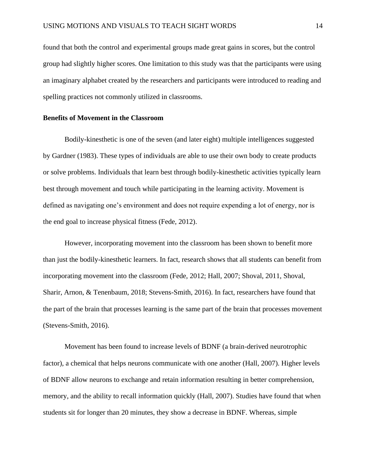found that both the control and experimental groups made great gains in scores, but the control group had slightly higher scores. One limitation to this study was that the participants were using an imaginary alphabet created by the researchers and participants were introduced to reading and spelling practices not commonly utilized in classrooms.

## **Benefits of Movement in the Classroom**

Bodily-kinesthetic is one of the seven (and later eight) multiple intelligences suggested by Gardner (1983). These types of individuals are able to use their own body to create products or solve problems. Individuals that learn best through bodily-kinesthetic activities typically learn best through movement and touch while participating in the learning activity. Movement is defined as navigating one's environment and does not require expending a lot of energy, nor is the end goal to increase physical fitness (Fede, 2012).

However, incorporating movement into the classroom has been shown to benefit more than just the bodily-kinesthetic learners. In fact, research shows that all students can benefit from incorporating movement into the classroom (Fede, 2012; Hall, 2007; Shoval, 2011, Shoval, Sharir, Arnon, & Tenenbaum, 2018; Stevens-Smith, 2016). In fact, researchers have found that the part of the brain that processes learning is the same part of the brain that processes movement (Stevens-Smith, 2016).

Movement has been found to increase levels of BDNF (a brain-derived neurotrophic factor), a chemical that helps neurons communicate with one another (Hall, 2007). Higher levels of BDNF allow neurons to exchange and retain information resulting in better comprehension, memory, and the ability to recall information quickly (Hall, 2007). Studies have found that when students sit for longer than 20 minutes, they show a decrease in BDNF. Whereas, simple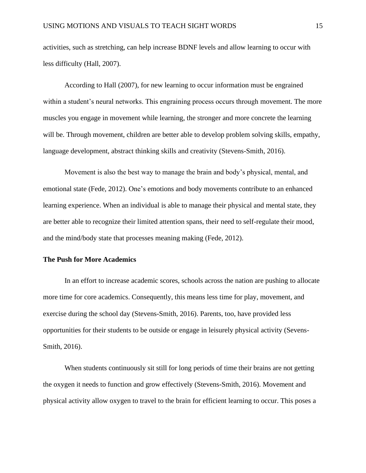activities, such as stretching, can help increase BDNF levels and allow learning to occur with less difficulty (Hall, 2007).

According to Hall (2007), for new learning to occur information must be engrained within a student's neural networks. This engraining process occurs through movement. The more muscles you engage in movement while learning, the stronger and more concrete the learning will be. Through movement, children are better able to develop problem solving skills, empathy, language development, abstract thinking skills and creativity (Stevens-Smith, 2016).

Movement is also the best way to manage the brain and body's physical, mental, and emotional state (Fede, 2012). One's emotions and body movements contribute to an enhanced learning experience. When an individual is able to manage their physical and mental state, they are better able to recognize their limited attention spans, their need to self-regulate their mood, and the mind/body state that processes meaning making (Fede, 2012).

# **The Push for More Academics**

In an effort to increase academic scores, schools across the nation are pushing to allocate more time for core academics. Consequently, this means less time for play, movement, and exercise during the school day (Stevens-Smith, 2016). Parents, too, have provided less opportunities for their students to be outside or engage in leisurely physical activity (Sevens-Smith, 2016).

When students continuously sit still for long periods of time their brains are not getting the oxygen it needs to function and grow effectively (Stevens-Smith, 2016). Movement and physical activity allow oxygen to travel to the brain for efficient learning to occur. This poses a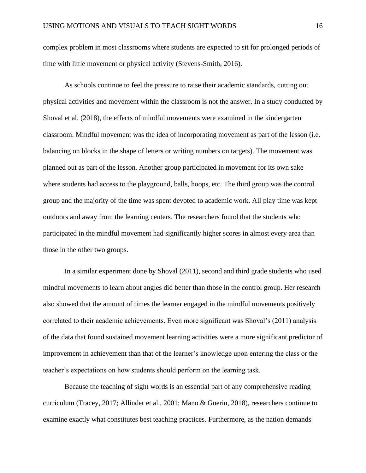complex problem in most classrooms where students are expected to sit for prolonged periods of time with little movement or physical activity (Stevens-Smith, 2016).

As schools continue to feel the pressure to raise their academic standards, cutting out physical activities and movement within the classroom is not the answer. In a study conducted by Shoval et al. (2018), the effects of mindful movements were examined in the kindergarten classroom. Mindful movement was the idea of incorporating movement as part of the lesson (i.e. balancing on blocks in the shape of letters or writing numbers on targets). The movement was planned out as part of the lesson. Another group participated in movement for its own sake where students had access to the playground, balls, hoops, etc. The third group was the control group and the majority of the time was spent devoted to academic work. All play time was kept outdoors and away from the learning centers. The researchers found that the students who participated in the mindful movement had significantly higher scores in almost every area than those in the other two groups.

In a similar experiment done by Shoval (2011), second and third grade students who used mindful movements to learn about angles did better than those in the control group. Her research also showed that the amount of times the learner engaged in the mindful movements positively correlated to their academic achievements. Even more significant was Shoval's (2011) analysis of the data that found sustained movement learning activities were a more significant predictor of improvement in achievement than that of the learner's knowledge upon entering the class or the teacher's expectations on how students should perform on the learning task.

Because the teaching of sight words is an essential part of any comprehensive reading curriculum (Tracey, 2017; Allinder et al., 2001; Mano & Guerin, 2018), researchers continue to examine exactly what constitutes best teaching practices. Furthermore, as the nation demands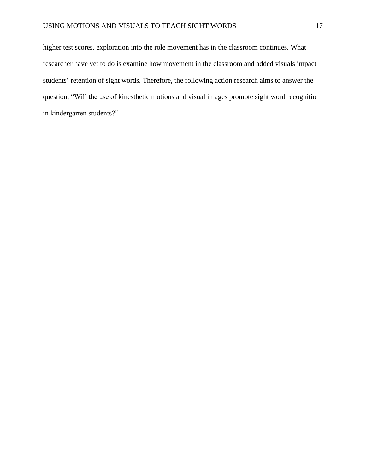higher test scores, exploration into the role movement has in the classroom continues. What researcher have yet to do is examine how movement in the classroom and added visuals impact students' retention of sight words. Therefore, the following action research aims to answer the question, "Will the use of kinesthetic motions and visual images promote sight word recognition in kindergarten students?"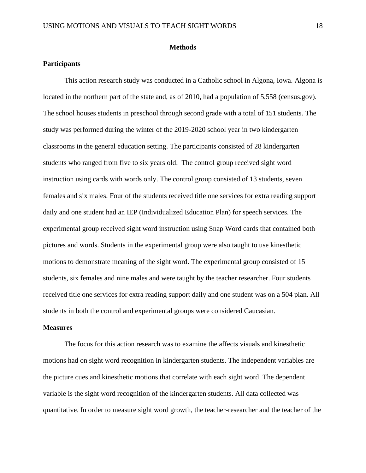### **Methods**

# **Participants**

This action research study was conducted in a Catholic school in Algona, Iowa. Algona is located in the northern part of the state and, as of 2010, had a population of 5,558 (census.gov). The school houses students in preschool through second grade with a total of 151 students. The study was performed during the winter of the 2019-2020 school year in two kindergarten classrooms in the general education setting. The participants consisted of 28 kindergarten students who ranged from five to six years old. The control group received sight word instruction using cards with words only. The control group consisted of 13 students, seven females and six males. Four of the students received title one services for extra reading support daily and one student had an IEP (Individualized Education Plan) for speech services. The experimental group received sight word instruction using Snap Word cards that contained both pictures and words. Students in the experimental group were also taught to use kinesthetic motions to demonstrate meaning of the sight word. The experimental group consisted of 15 students, six females and nine males and were taught by the teacher researcher. Four students received title one services for extra reading support daily and one student was on a 504 plan. All students in both the control and experimental groups were considered Caucasian.

#### **Measures**

The focus for this action research was to examine the affects visuals and kinesthetic motions had on sight word recognition in kindergarten students. The independent variables are the picture cues and kinesthetic motions that correlate with each sight word. The dependent variable is the sight word recognition of the kindergarten students. All data collected was quantitative. In order to measure sight word growth, the teacher-researcher and the teacher of the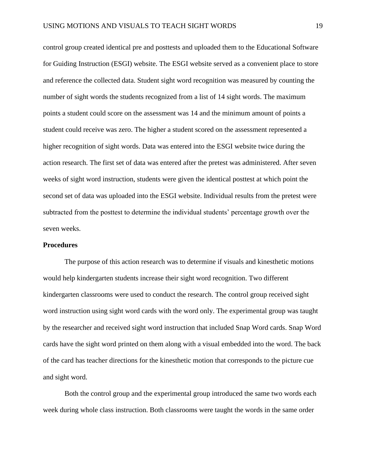control group created identical pre and posttests and uploaded them to the Educational Software for Guiding Instruction (ESGI) website. The ESGI website served as a convenient place to store and reference the collected data. Student sight word recognition was measured by counting the number of sight words the students recognized from a list of 14 sight words. The maximum points a student could score on the assessment was 14 and the minimum amount of points a student could receive was zero. The higher a student scored on the assessment represented a higher recognition of sight words. Data was entered into the ESGI website twice during the action research. The first set of data was entered after the pretest was administered. After seven weeks of sight word instruction, students were given the identical posttest at which point the second set of data was uploaded into the ESGI website. Individual results from the pretest were subtracted from the posttest to determine the individual students' percentage growth over the seven weeks.

### **Procedures**

The purpose of this action research was to determine if visuals and kinesthetic motions would help kindergarten students increase their sight word recognition. Two different kindergarten classrooms were used to conduct the research. The control group received sight word instruction using sight word cards with the word only. The experimental group was taught by the researcher and received sight word instruction that included Snap Word cards. Snap Word cards have the sight word printed on them along with a visual embedded into the word. The back of the card has teacher directions for the kinesthetic motion that corresponds to the picture cue and sight word.

Both the control group and the experimental group introduced the same two words each week during whole class instruction. Both classrooms were taught the words in the same order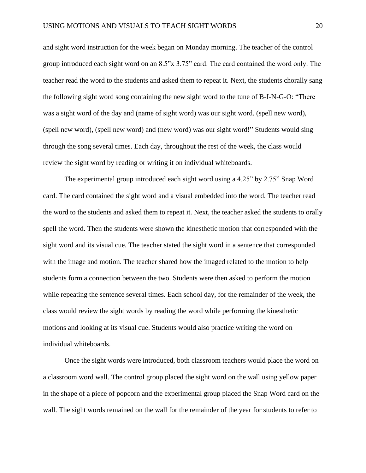and sight word instruction for the week began on Monday morning. The teacher of the control group introduced each sight word on an 8.5"x 3.75" card. The card contained the word only. The teacher read the word to the students and asked them to repeat it. Next, the students chorally sang the following sight word song containing the new sight word to the tune of B-I-N-G-O: "There was a sight word of the day and (name of sight word) was our sight word. (spell new word), (spell new word), (spell new word) and (new word) was our sight word!" Students would sing through the song several times. Each day, throughout the rest of the week, the class would review the sight word by reading or writing it on individual whiteboards.

The experimental group introduced each sight word using a 4.25" by 2.75" Snap Word card. The card contained the sight word and a visual embedded into the word. The teacher read the word to the students and asked them to repeat it. Next, the teacher asked the students to orally spell the word. Then the students were shown the kinesthetic motion that corresponded with the sight word and its visual cue. The teacher stated the sight word in a sentence that corresponded with the image and motion. The teacher shared how the imaged related to the motion to help students form a connection between the two. Students were then asked to perform the motion while repeating the sentence several times. Each school day, for the remainder of the week, the class would review the sight words by reading the word while performing the kinesthetic motions and looking at its visual cue. Students would also practice writing the word on individual whiteboards.

Once the sight words were introduced, both classroom teachers would place the word on a classroom word wall. The control group placed the sight word on the wall using yellow paper in the shape of a piece of popcorn and the experimental group placed the Snap Word card on the wall. The sight words remained on the wall for the remainder of the year for students to refer to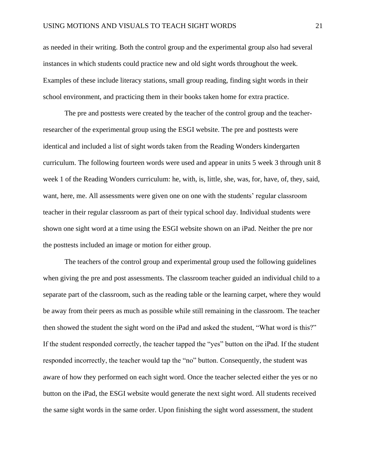as needed in their writing. Both the control group and the experimental group also had several instances in which students could practice new and old sight words throughout the week. Examples of these include literacy stations, small group reading, finding sight words in their school environment, and practicing them in their books taken home for extra practice.

The pre and posttests were created by the teacher of the control group and the teacherresearcher of the experimental group using the ESGI website. The pre and posttests were identical and included a list of sight words taken from the Reading Wonders kindergarten curriculum. The following fourteen words were used and appear in units 5 week 3 through unit 8 week 1 of the Reading Wonders curriculum: he, with, is, little, she, was, for, have, of, they, said, want, here, me. All assessments were given one on one with the students' regular classroom teacher in their regular classroom as part of their typical school day. Individual students were shown one sight word at a time using the ESGI website shown on an iPad. Neither the pre nor the posttests included an image or motion for either group.

The teachers of the control group and experimental group used the following guidelines when giving the pre and post assessments. The classroom teacher guided an individual child to a separate part of the classroom, such as the reading table or the learning carpet, where they would be away from their peers as much as possible while still remaining in the classroom. The teacher then showed the student the sight word on the iPad and asked the student, "What word is this?" If the student responded correctly, the teacher tapped the "yes" button on the iPad. If the student responded incorrectly, the teacher would tap the "no" button. Consequently, the student was aware of how they performed on each sight word. Once the teacher selected either the yes or no button on the iPad, the ESGI website would generate the next sight word. All students received the same sight words in the same order. Upon finishing the sight word assessment, the student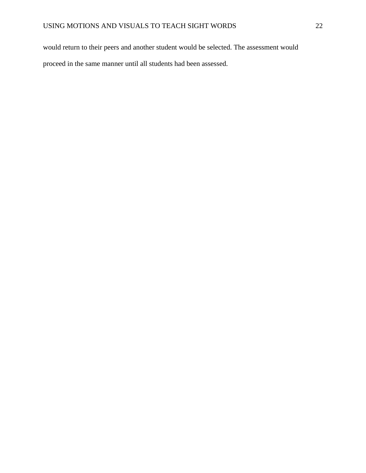would return to their peers and another student would be selected. The assessment would proceed in the same manner until all students had been assessed.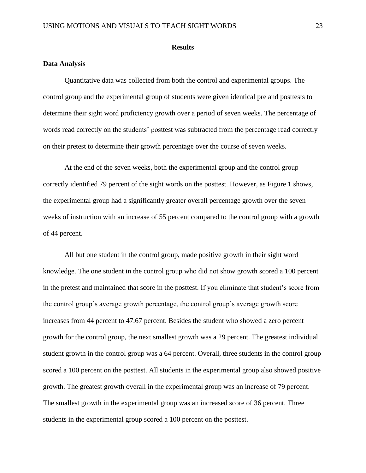#### **Results**

# **Data Analysis**

Quantitative data was collected from both the control and experimental groups. The control group and the experimental group of students were given identical pre and posttests to determine their sight word proficiency growth over a period of seven weeks. The percentage of words read correctly on the students' posttest was subtracted from the percentage read correctly on their pretest to determine their growth percentage over the course of seven weeks.

At the end of the seven weeks, both the experimental group and the control group correctly identified 79 percent of the sight words on the posttest. However, as Figure 1 shows, the experimental group had a significantly greater overall percentage growth over the seven weeks of instruction with an increase of 55 percent compared to the control group with a growth of 44 percent.

All but one student in the control group, made positive growth in their sight word knowledge. The one student in the control group who did not show growth scored a 100 percent in the pretest and maintained that score in the posttest. If you eliminate that student's score from the control group's average growth percentage, the control group's average growth score increases from 44 percent to 47.67 percent. Besides the student who showed a zero percent growth for the control group, the next smallest growth was a 29 percent. The greatest individual student growth in the control group was a 64 percent. Overall, three students in the control group scored a 100 percent on the posttest. All students in the experimental group also showed positive growth. The greatest growth overall in the experimental group was an increase of 79 percent. The smallest growth in the experimental group was an increased score of 36 percent. Three students in the experimental group scored a 100 percent on the posttest.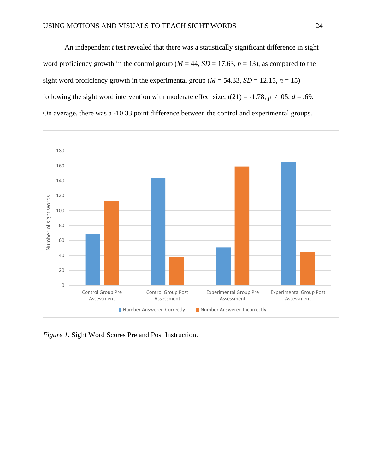An independent *t* test revealed that there was a statistically significant difference in sight word proficiency growth in the control group ( $M = 44$ ,  $SD = 17.63$ ,  $n = 13$ ), as compared to the sight word proficiency growth in the experimental group ( $M = 54.33$ ,  $SD = 12.15$ ,  $n = 15$ ) following the sight word intervention with moderate effect size,  $t(21) = -1.78$ ,  $p < .05$ ,  $d = .69$ . On average, there was a -10.33 point difference between the control and experimental groups.



*Figure 1.* Sight Word Scores Pre and Post Instruction.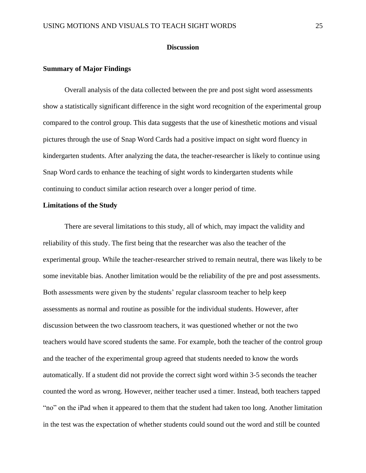# **Discussion**

# **Summary of Major Findings**

Overall analysis of the data collected between the pre and post sight word assessments show a statistically significant difference in the sight word recognition of the experimental group compared to the control group. This data suggests that the use of kinesthetic motions and visual pictures through the use of Snap Word Cards had a positive impact on sight word fluency in kindergarten students. After analyzing the data, the teacher-researcher is likely to continue using Snap Word cards to enhance the teaching of sight words to kindergarten students while continuing to conduct similar action research over a longer period of time.

#### **Limitations of the Study**

There are several limitations to this study, all of which, may impact the validity and reliability of this study. The first being that the researcher was also the teacher of the experimental group. While the teacher-researcher strived to remain neutral, there was likely to be some inevitable bias. Another limitation would be the reliability of the pre and post assessments. Both assessments were given by the students' regular classroom teacher to help keep assessments as normal and routine as possible for the individual students. However, after discussion between the two classroom teachers, it was questioned whether or not the two teachers would have scored students the same. For example, both the teacher of the control group and the teacher of the experimental group agreed that students needed to know the words automatically. If a student did not provide the correct sight word within 3-5 seconds the teacher counted the word as wrong. However, neither teacher used a timer. Instead, both teachers tapped "no" on the iPad when it appeared to them that the student had taken too long. Another limitation in the test was the expectation of whether students could sound out the word and still be counted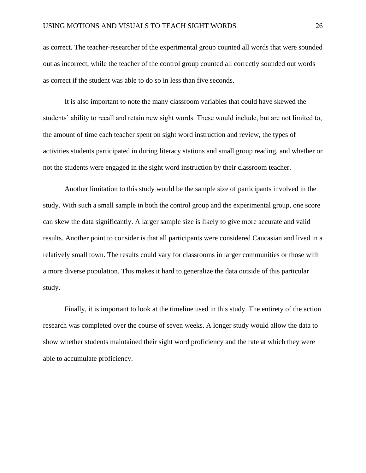as correct. The teacher-researcher of the experimental group counted all words that were sounded out as incorrect, while the teacher of the control group counted all correctly sounded out words as correct if the student was able to do so in less than five seconds.

It is also important to note the many classroom variables that could have skewed the students' ability to recall and retain new sight words. These would include, but are not limited to, the amount of time each teacher spent on sight word instruction and review, the types of activities students participated in during literacy stations and small group reading, and whether or not the students were engaged in the sight word instruction by their classroom teacher.

Another limitation to this study would be the sample size of participants involved in the study. With such a small sample in both the control group and the experimental group, one score can skew the data significantly. A larger sample size is likely to give more accurate and valid results. Another point to consider is that all participants were considered Caucasian and lived in a relatively small town. The results could vary for classrooms in larger communities or those with a more diverse population. This makes it hard to generalize the data outside of this particular study.

Finally, it is important to look at the timeline used in this study. The entirety of the action research was completed over the course of seven weeks. A longer study would allow the data to show whether students maintained their sight word proficiency and the rate at which they were able to accumulate proficiency.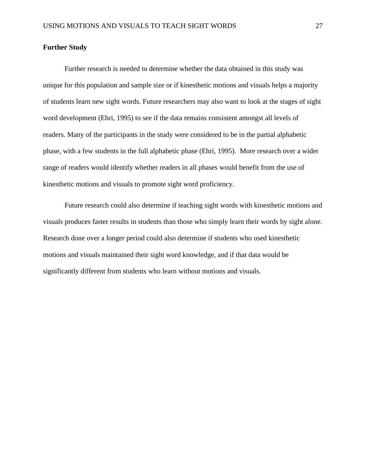# **Further Study**

Further research is needed to determine whether the data obtained in this study was unique for this population and sample size or if kinesthetic motions and visuals helps a majority of students learn new sight words. Future researchers may also want to look at the stages of sight word development (Ehri, 1995) to see if the data remains consistent amongst all levels of readers. Many of the participants in the study were considered to be in the partial alphabetic phase, with a few students in the full alphabetic phase (Ehri, 1995). More research over a wider range of readers would identify whether readers in all phases would benefit from the use of kinesthetic motions and visuals to promote sight word proficiency.

Future research could also determine if teaching sight words with kinesthetic motions and visuals produces faster results in students than those who simply learn their words by sight alone. Research done over a longer period could also determine if students who used kinesthetic motions and visuals maintained their sight word knowledge, and if that data would be significantly different from students who learn without motions and visuals.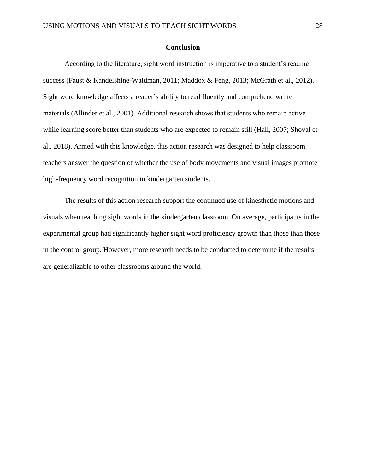# **Conclusion**

According to the literature, sight word instruction is imperative to a student's reading success (Faust & Kandelshine-Waldman, 2011; Maddox & Feng, 2013; McGrath et al., 2012). Sight word knowledge affects a reader's ability to read fluently and comprehend written materials (Allinder et al., 2001). Additional research shows that students who remain active while learning score better than students who are expected to remain still (Hall, 2007; Shoval et al., 2018). Armed with this knowledge, this action research was designed to help classroom teachers answer the question of whether the use of body movements and visual images promote high-frequency word recognition in kindergarten students.

The results of this action research support the continued use of kinesthetic motions and visuals when teaching sight words in the kindergarten classroom. On average, participants in the experimental group had significantly higher sight word proficiency growth than those than those in the control group. However, more research needs to be conducted to determine if the results are generalizable to other classrooms around the world.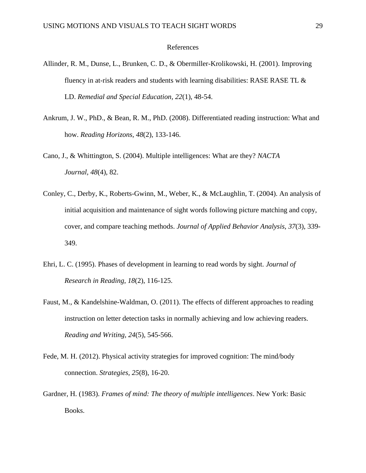#### References

- Allinder, R. M., Dunse, L., Brunken, C. D., & Obermiller-Krolikowski, H. (2001). Improving fluency in at-risk readers and students with learning disabilities: RASE RASE TL  $\&$ LD. *Remedial and Special Education, 22*(1), 48-54.
- Ankrum, J. W., PhD., & Bean, R. M., PhD. (2008). Differentiated reading instruction: What and how. *Reading Horizons, 48*(2), 133-146.
- Cano, J., & Whittington, S. (2004). Multiple intelligences: What are they? *NACTA Journal, 48*(4), 82.
- Conley, C., Derby, K., Roberts-Gwinn, M., Weber, K., & McLaughlin, T. (2004). An analysis of initial acquisition and maintenance of sight words following picture matching and copy, cover, and compare teaching methods. *Journal of Applied Behavior Analysis, 37*(3), 339- 349.
- Ehri, L. C. (1995). Phases of development in learning to read words by sight. *Journal of Research in Reading, 18*(2), 116-125.
- Faust, M., & Kandelshine-Waldman, O. (2011). The effects of different approaches to reading instruction on letter detection tasks in normally achieving and low achieving readers. *Reading and Writing, 24*(5), 545-566.
- Fede, M. H. (2012). Physical activity strategies for improved cognition: The mind/body connection. *Strategies, 25*(8), 16-20.
- Gardner, H. (1983). *Frames of mind: The theory of multiple intelligences*. New York: Basic Books.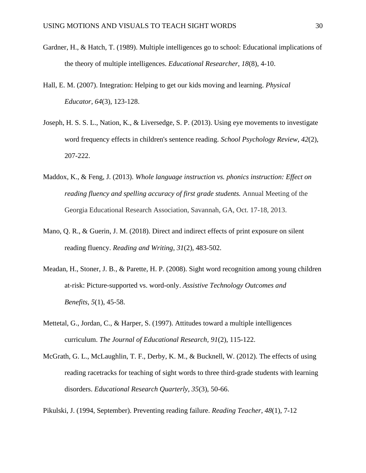- Gardner, H., & Hatch, T. (1989). Multiple intelligences go to school: Educational implications of the theory of multiple intelligences. *Educational Researcher, 18*(8), 4-10.
- Hall, E. M. (2007). Integration: Helping to get our kids moving and learning. *Physical Educator, 64*(3), 123-128.
- Joseph, H. S. S. L., Nation, K., & Liversedge, S. P. (2013). Using eye movements to investigate word frequency effects in children's sentence reading. *School Psychology Review, 42*(2), 207-222.
- Maddox, K., & Feng, J. (2013). *Whole language instruction vs. phonics instruction: Effect on reading fluency and spelling accuracy of first grade students.* Annual Meeting of the Georgia Educational Research Association, Savannah, GA, Oct. 17-18, 2013.
- Mano, Q. R., & Guerin, J. M. (2018). Direct and indirect effects of print exposure on silent reading fluency. *Reading and Writing, 31*(2), 483-502.
- Meadan, H., Stoner, J. B., & Parette, H. P. (2008). Sight word recognition among young children at-risk: Picture-supported vs. word-only. *Assistive Technology Outcomes and Benefits, 5*(1), 45-58.
- Mettetal, G., Jordan, C., & Harper, S. (1997). Attitudes toward a multiple intelligences curriculum. *The Journal of Educational Research, 91*(2), 115-122.
- McGrath, G. L., McLaughlin, T. F., Derby, K. M., & Bucknell, W. (2012). The effects of using reading racetracks for teaching of sight words to three third-grade students with learning disorders. *Educational Research Quarterly, 35*(3), 50-66.
- Pikulski, J. (1994, September). Preventing reading failure. *Reading Teacher, 48*(1), 7-12